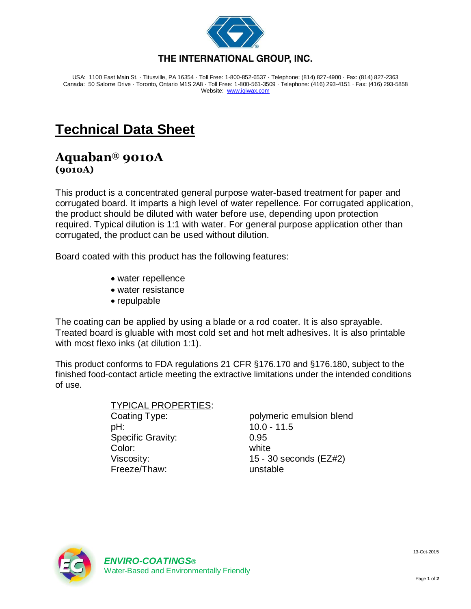

USA: 1100 East Main St. · Titusville, PA 16354 · Toll Free: 1-800-852-6537 · Telephone: (814) 827-4900 · Fax: (814) 827-2363 Canada: 50 Salome Drive · Toronto, Ontario M1S 2A8 · Toll Free: 1-800-561-3509 · Telephone: (416) 293-4151 · Fax: (416) 293-5858 Website: [www.igiwax.com](http://www.igiwax.com/)

## **Technical Data Sheet**

## **Aquaban® 9010A (9010A)**

This product is a concentrated general purpose water-based treatment for paper and corrugated board. It imparts a high level of water repellence. For corrugated application, the product should be diluted with water before use, depending upon protection required. Typical dilution is 1:1 with water. For general purpose application other than corrugated, the product can be used without dilution.

Board coated with this product has the following features:

- water repellence
- water resistance
- repulpable

The coating can be applied by using a blade or a rod coater. It is also sprayable. Treated board is gluable with most cold set and hot melt adhesives. It is also printable with most flexo inks (at dilution 1:1).

This product conforms to FDA regulations 21 CFR §176.170 and §176.180, subject to the finished food-contact article meeting the extractive limitations under the intended conditions of use.

> TYPICAL PROPERTIES: Coating Type: polymeric emulsion blend pH: 10.0 - 11.5 Specific Gravity: 0.95 Color: white Viscosity: 15 - 30 seconds (EZ#2) Freeze/Thaw: unstable